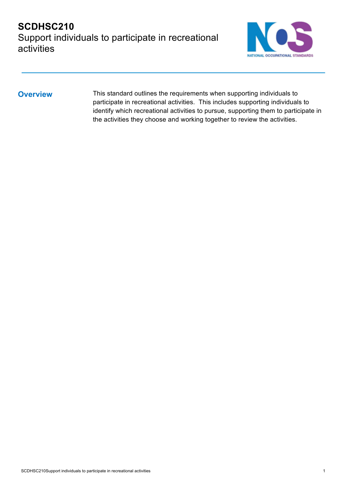

**Overview** This standard outlines the requirements when supporting individuals to participate in recreational activities. This includes supporting individuals to identify which recreational activities to pursue, supporting them to participate in the activities they choose and working together to review the activities.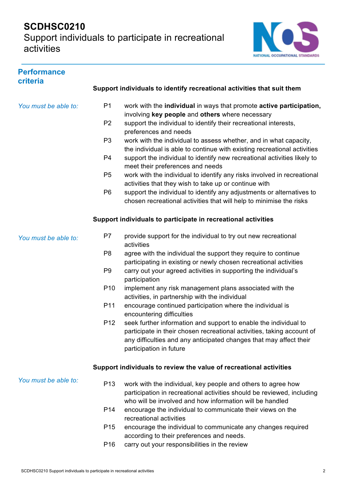# **SCDHSC0210**

Support individuals to participate in recreational activities



| <b>Performance</b><br>criteria |                 |                                                                                                                                                                                                                                             |
|--------------------------------|-----------------|---------------------------------------------------------------------------------------------------------------------------------------------------------------------------------------------------------------------------------------------|
|                                |                 | Support individuals to identify recreational activities that suit them                                                                                                                                                                      |
| You must be able to:           | P <sub>1</sub>  | work with the individual in ways that promote active participation,<br>involving key people and others where necessary                                                                                                                      |
|                                | P <sub>2</sub>  | support the individual to identify their recreational interests,<br>preferences and needs                                                                                                                                                   |
|                                | P <sub>3</sub>  | work with the individual to assess whether, and in what capacity,<br>the individual is able to continue with existing recreational activities                                                                                               |
|                                | P <sub>4</sub>  | support the individual to identify new recreational activities likely to<br>meet their preferences and needs                                                                                                                                |
|                                | P <sub>5</sub>  | work with the individual to identify any risks involved in recreational<br>activities that they wish to take up or continue with                                                                                                            |
|                                | P <sub>6</sub>  | support the individual to identify any adjustments or alternatives to<br>chosen recreational activities that will help to minimise the risks                                                                                                |
|                                |                 | Support individuals to participate in recreational activities                                                                                                                                                                               |
| You must be able to:           | P7              | provide support for the individual to try out new recreational<br>activities                                                                                                                                                                |
|                                | P <sub>8</sub>  | agree with the individual the support they require to continue<br>participating in existing or newly chosen recreational activities                                                                                                         |
|                                | P <sub>9</sub>  | carry out your agreed activities in supporting the individual's<br>participation                                                                                                                                                            |
|                                | P <sub>10</sub> | implement any risk management plans associated with the<br>activities, in partnership with the individual                                                                                                                                   |
|                                | P11             | encourage continued participation where the individual is<br>encountering difficulties                                                                                                                                                      |
|                                | P <sub>12</sub> | seek further information and support to enable the individual to<br>participate in their chosen recreational activities, taking account of<br>any difficulties and any anticipated changes that may affect their<br>participation in future |
|                                |                 | Support individuals to review the value of recreational activities                                                                                                                                                                          |
| You must be able to:           | P <sub>13</sub> | work with the individual, key people and others to agree how<br>participation in recreational activities should be reviewed, including<br>who will be involved and how information will be handled                                          |
|                                | P <sub>14</sub> | encourage the individual to communicate their views on the<br>recreational activities                                                                                                                                                       |
|                                | P <sub>15</sub> | encourage the individual to communicate any changes required<br>according to their preferences and needs.                                                                                                                                   |
|                                | P <sub>16</sub> | carry out your responsibilities in the review                                                                                                                                                                                               |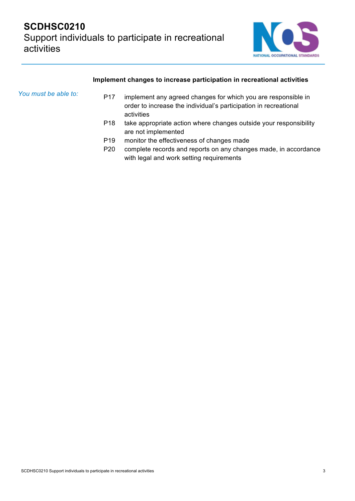

### **Implement changes to increase participation in recreational activities**

| You must be able to: | P <sub>17</sub> | implement any agreed changes for which you are responsible in<br>order to increase the individual's participation in recreational<br>activities |
|----------------------|-----------------|-------------------------------------------------------------------------------------------------------------------------------------------------|
|                      | P <sub>18</sub> | take appropriate action where changes outside your responsibility<br>are not implemented                                                        |
|                      | P <sub>19</sub> | monitor the effectiveness of changes made                                                                                                       |
|                      | P <sub>20</sub> | complete records and reports on any changes made, in accordance<br>with legal and work setting requirements                                     |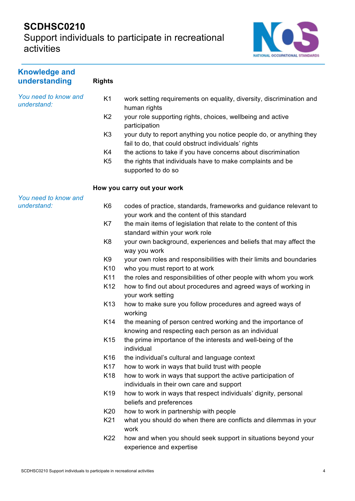# **SCDHSC0210**

Support individuals to participate in recreational activities



| <b>Knowledge and</b><br>understanding | <b>Rights</b>   |                                                                                                                            |
|---------------------------------------|-----------------|----------------------------------------------------------------------------------------------------------------------------|
| You need to know and<br>understand:   | K <sub>1</sub>  | work setting requirements on equality, diversity, discrimination and<br>human rights                                       |
|                                       | K <sub>2</sub>  | your role supporting rights, choices, wellbeing and active<br>participation                                                |
|                                       | K <sub>3</sub>  | your duty to report anything you notice people do, or anything they<br>fail to do, that could obstruct individuals' rights |
|                                       | K4              | the actions to take if you have concerns about discrimination                                                              |
|                                       | K <sub>5</sub>  | the rights that individuals have to make complaints and be                                                                 |
|                                       |                 | supported to do so                                                                                                         |
|                                       |                 | How you carry out your work                                                                                                |
| You need to know and                  |                 |                                                                                                                            |
| understand:                           | K <sub>6</sub>  | codes of practice, standards, frameworks and guidance relevant to<br>your work and the content of this standard            |
|                                       | K7              | the main items of legislation that relate to the content of this<br>standard within your work role                         |
|                                       | K <sub>8</sub>  | your own background, experiences and beliefs that may affect the<br>way you work                                           |
|                                       | K <sub>9</sub>  |                                                                                                                            |
|                                       | K <sub>10</sub> | your own roles and responsibilities with their limits and boundaries                                                       |
|                                       | K11             | who you must report to at work<br>the roles and responsibilities of other people with whom you work                        |
|                                       | K <sub>12</sub> | how to find out about procedures and agreed ways of working in<br>your work setting                                        |
|                                       | K <sub>13</sub> | how to make sure you follow procedures and agreed ways of<br>working                                                       |
|                                       | K14             | the meaning of person centred working and the importance of<br>knowing and respecting each person as an individual         |
|                                       | K <sub>15</sub> | the prime importance of the interests and well-being of the<br>individual                                                  |
|                                       | K <sub>16</sub> | the individual's cultural and language context                                                                             |
|                                       | K <sub>17</sub> | how to work in ways that build trust with people                                                                           |
|                                       | K <sub>18</sub> | how to work in ways that support the active participation of<br>individuals in their own care and support                  |
|                                       | K19             | how to work in ways that respect individuals' dignity, personal<br>beliefs and preferences                                 |
|                                       | K20             | how to work in partnership with people                                                                                     |
|                                       | K21             | what you should do when there are conflicts and dilemmas in your<br>work                                                   |
|                                       | K22             | how and when you should seek support in situations beyond your<br>experience and expertise                                 |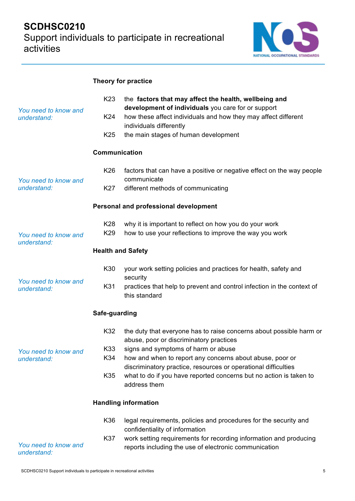

## **Theory for practice**

| You need to know and<br>understand: | K23<br>K24<br>K <sub>25</sub> | the factors that may affect the health, wellbeing and<br>development of individuals you care for or support<br>how these affect individuals and how they may affect different<br>individuals differently<br>the main stages of human development |  |
|-------------------------------------|-------------------------------|--------------------------------------------------------------------------------------------------------------------------------------------------------------------------------------------------------------------------------------------------|--|
|                                     | Communication                 |                                                                                                                                                                                                                                                  |  |
| You need to know and                | K <sub>26</sub>               | factors that can have a positive or negative effect on the way people<br>communicate                                                                                                                                                             |  |
| understand:                         | K27                           | different methods of communicating                                                                                                                                                                                                               |  |
|                                     |                               | Personal and professional development                                                                                                                                                                                                            |  |
| You need to know and<br>understand: | K28<br>K29                    | why it is important to reflect on how you do your work<br>how to use your reflections to improve the way you work                                                                                                                                |  |
|                                     | <b>Health and Safety</b>      |                                                                                                                                                                                                                                                  |  |
|                                     | K30                           | your work setting policies and practices for health, safety and<br>security                                                                                                                                                                      |  |
| You need to know and<br>understand: | K31                           | practices that help to prevent and control infection in the context of<br>this standard                                                                                                                                                          |  |
|                                     | Safe-guarding                 |                                                                                                                                                                                                                                                  |  |
|                                     | K32                           | the duty that everyone has to raise concerns about possible harm or<br>abuse, poor or discriminatory practices                                                                                                                                   |  |
| You need to know and                | K33<br>K34                    | signs and symptoms of harm or abuse<br>how and when to report any concerns about abuse, poor or                                                                                                                                                  |  |
| understand:                         |                               | discriminatory practice, resources or operational difficulties                                                                                                                                                                                   |  |
|                                     | K35                           | what to do if you have reported concerns but no action is taken to<br>address them                                                                                                                                                               |  |
|                                     |                               | <b>Handling information</b>                                                                                                                                                                                                                      |  |
|                                     | K36                           | legal requirements, policies and procedures for the security and<br>confidentiality of information                                                                                                                                               |  |
| You need to know and<br>understand: | K37                           | work setting requirements for recording information and producing<br>reports including the use of electronic communication                                                                                                                       |  |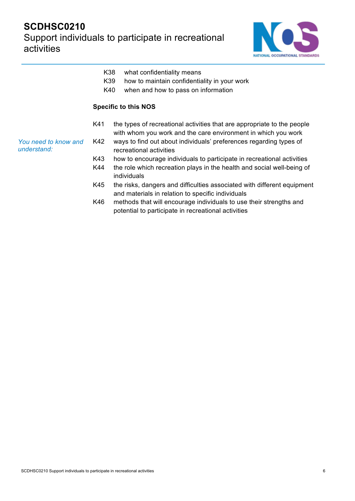

|                                     |     | K38<br>what confidentiality means<br>K39<br>how to maintain confidentiality in your work<br>K40<br>when and how to pass on information   |
|-------------------------------------|-----|------------------------------------------------------------------------------------------------------------------------------------------|
|                                     |     | <b>Specific to this NOS</b>                                                                                                              |
|                                     | K41 | the types of recreational activities that are appropriate to the people<br>with whom you work and the care environment in which you work |
| You need to know and<br>understand: | K42 | ways to find out about individuals' preferences regarding types of<br>recreational activities                                            |
|                                     | K43 | how to encourage individuals to participate in recreational activities                                                                   |
|                                     | K44 | the role which recreation plays in the health and social well-being of<br>individuals                                                    |
|                                     | K45 | the risks, dangers and difficulties associated with different equipment<br>and materials in relation to specific individuals             |
|                                     | K46 | methods that will encourage individuals to use their strengths and<br>potential to participate in recreational activities                |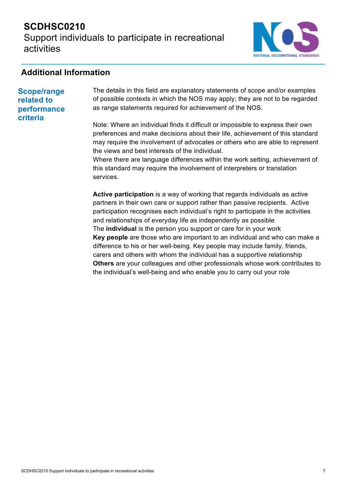## **SCDHSC0210**  Support individuals to participate in recreational activities



## **Additional Information**

### **Scope/range related to performance criteria**

The details in this field are explanatory statements of scope and/or examples of possible contexts in which the NOS may apply; they are not to be regarded as range statements required for achievement of the NOS.

Note: Where an individual finds it difficult or impossible to express their own preferences and make decisions about their life, achievement of this standard may require the involvement of advocates or others who are able to represent the views and best interests of the individual.

Where there are language differences within the work setting, achievement of this standard may require the involvement of interpreters or translation services.

**Active participation** is a way of working that regards individuals as active partners in their own care or support rather than passive recipients. Active participation recognises each individual's right to participate in the activities and relationships of everyday life as independently as possible The **individual** is the person you support or care for in your work **Key people** are those who are important to an individual and who can make a difference to his or her well-being. Key people may include family, friends, carers and others with whom the individual has a supportive relationship **Others** are your colleagues and other professionals whose work contributes to the individual's well-being and who enable you to carry out your role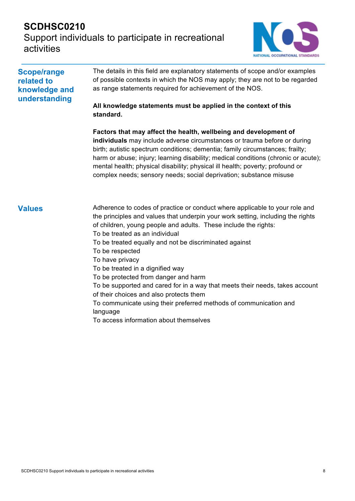## **SCDHSC0210**  Support individuals to participate in recreational activities



| <b>Scope/range</b><br>related to<br>knowledge and<br>understanding | The details in this field are explanatory statements of scope and/or examples<br>of possible contexts in which the NOS may apply; they are not to be regarded<br>as range statements required for achievement of the NOS.<br>All knowledge statements must be applied in the context of this                                                                                                                                                                                                                                                                                                                                                                                                          |  |  |
|--------------------------------------------------------------------|-------------------------------------------------------------------------------------------------------------------------------------------------------------------------------------------------------------------------------------------------------------------------------------------------------------------------------------------------------------------------------------------------------------------------------------------------------------------------------------------------------------------------------------------------------------------------------------------------------------------------------------------------------------------------------------------------------|--|--|
|                                                                    | standard.                                                                                                                                                                                                                                                                                                                                                                                                                                                                                                                                                                                                                                                                                             |  |  |
|                                                                    | Factors that may affect the health, wellbeing and development of<br>individuals may include adverse circumstances or trauma before or during<br>birth; autistic spectrum conditions; dementia; family circumstances; frailty;<br>harm or abuse; injury; learning disability; medical conditions (chronic or acute);<br>mental health; physical disability; physical ill health; poverty; profound or<br>complex needs; sensory needs; social deprivation; substance misuse                                                                                                                                                                                                                            |  |  |
| <b>Values</b>                                                      | Adherence to codes of practice or conduct where applicable to your role and<br>the principles and values that underpin your work setting, including the rights<br>of children, young people and adults. These include the rights:<br>To be treated as an individual<br>To be treated equally and not be discriminated against<br>To be respected<br>To have privacy<br>To be treated in a dignified way<br>To be protected from danger and harm<br>To be supported and cared for in a way that meets their needs, takes account<br>of their choices and also protects them<br>To communicate using their preferred methods of communication and<br>language<br>To access information about themselves |  |  |